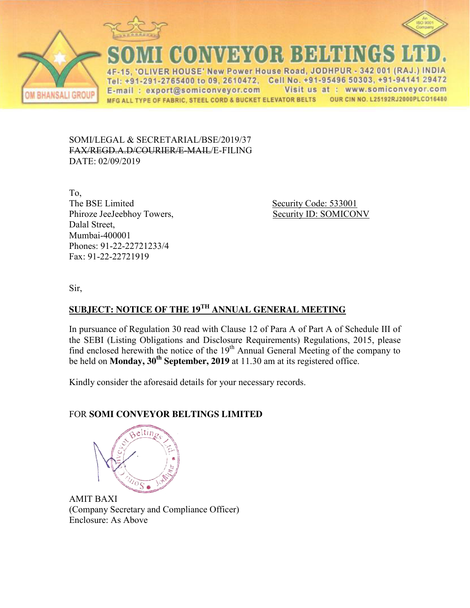





**CONVEYOR BELTINGS L** ER HOUSE' New Power House Road, JODHPUR - 342 001 (RAJ.) INDIA  $\Delta F$ Tel: +91-291-2765400 to 09, 2610472, Cell No. +91-95496 50303, +91-94141 29472 E-mail: export@somiconveyor.com Visit us at : www.somiconveyor.com MFG ALL TYPE OF FABRIC, STEEL CORD & BUCKET ELEVATOR BELTS OUR CIN NO. L25192RJ2000PLCO16480

SOMI/LEGAL & SECRETARIAL/BSE/2019/37 FAX/REGD.A.D/COURIER/E-MAIL/E-FILING DATE: 02/09/2019

To, The BSE Limited Security Code: 533001 Phiroze JeeJeebhoy Towers, Security ID: SOMICONV Dalal Street, Mumbai-400001 Phones: 91-22-22721233/4 Fax: 91-22-22721919

Sir,

# **SUBJECT: NOTICE OF THE 19TH ANNUAL GENERAL MEETING**

In pursuance of Regulation 30 read with Clause 12 of Para A of Part A of Schedule III of the SEBI (Listing Obligations and Disclosure Requirements) Regulations, 2015, please find enclosed herewith the notice of the 19<sup>th</sup> Annual General Meeting of the company to be held on **Monday, 30th September, 2019** at 11.30 am at its registered office.

Kindly consider the aforesaid details for your necessary records.

## FOR **SOMI CONVEYOR BELTINGS LIMITED**



AMIT BAXI (Company Secretary and Compliance Officer) Enclosure: As Above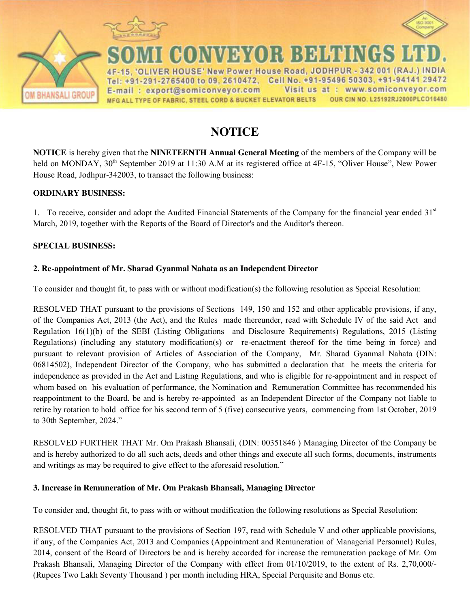



I CONVEYOR BEHTINGS ER HOUSE' New Power House Road, JODHPUR - 342 001 (RAJ.) INDIA Tel: +91-291-2765400 to 09, 2610472, Cell No. +91-95496 50303, +91-94141 29472 Visit us at : www.somiconveyor.com E-mail: export@somiconveyor.com OUR CIN NO. L25192RJ2000PLCO16480 MFG ALL TYPE OF FABRIC, STEEL CORD & BUCKET ELEVATOR BELTS

# **NOTICE**

**NOTICE** is hereby given that the **NINETEENTH Annual General Meeting** of the members of the Company will be held on MONDAY, 30<sup>th</sup> September 2019 at 11:30 A.M at its registered office at 4F-15, "Oliver House", New Power House Road, Jodhpur-342003, to transact the following business:

### **ORDINARY BUSINESS:**

**BHANSALI GROUP** 

1. To receive, consider and adopt the Audited Financial Statements of the Company for the financial year ended  $31<sup>st</sup>$ March, 2019, together with the Reports of the Board of Director's and the Auditor's thereon.

### **SPECIAL BUSINESS:**

### **2. Re-appointment of Mr. Sharad Gyanmal Nahata as an Independent Director**

To consider and thought fit, to pass with or without modification(s) the following resolution as Special Resolution:

RESOLVED THAT pursuant to the provisions of Sections 149, 150 and 152 and other applicable provisions, if any, of the Companies Act, 2013 (the Act), and the Rules made thereunder, read with Schedule IV of the said Act and Regulation 16(1)(b) of the SEBI (Listing Obligations and Disclosure Requirements) Regulations, 2015 (Listing Regulations) (including any statutory modification(s) or re-enactment thereof for the time being in force) and pursuant to relevant provision of Articles of Association of the Company, Mr. Sharad Gyanmal Nahata (DIN: 06814502), Independent Director of the Company, who has submitted a declaration that he meets the criteria for independence as provided in the Act and Listing Regulations, and who is eligible for re-appointment and in respect of whom based on his evaluation of performance, the Nomination and Remuneration Committee has recommended his reappointment to the Board, be and is hereby re-appointed as an Independent Director of the Company not liable to retire by rotation to hold office for his second term of 5 (five) consecutive years, commencing from 1st October, 2019 to 30th September, 2024."

RESOLVED FURTHER THAT Mr. Om Prakash Bhansali, (DIN: 00351846 ) Managing Director of the Company be and is hereby authorized to do all such acts, deeds and other things and execute all such forms, documents, instruments and writings as may be required to give effect to the aforesaid resolution."

### **3. Increase in Remuneration of Mr. Om Prakash Bhansali, Managing Director**

To consider and, thought fit, to pass with or without modification the following resolutions as Special Resolution:

RESOLVED THAT pursuant to the provisions of Section 197, read with Schedule V and other applicable provisions, if any, of the Companies Act, 2013 and Companies (Appointment and Remuneration of Managerial Personnel) Rules, 2014, consent of the Board of Directors be and is hereby accorded for increase the remuneration package of Mr. Om Prakash Bhansali, Managing Director of the Company with effect from 01/10/2019, to the extent of Rs. 2,70,000/- (Rupees Two Lakh Seventy Thousand ) per month including HRA, Special Perquisite and Bonus etc.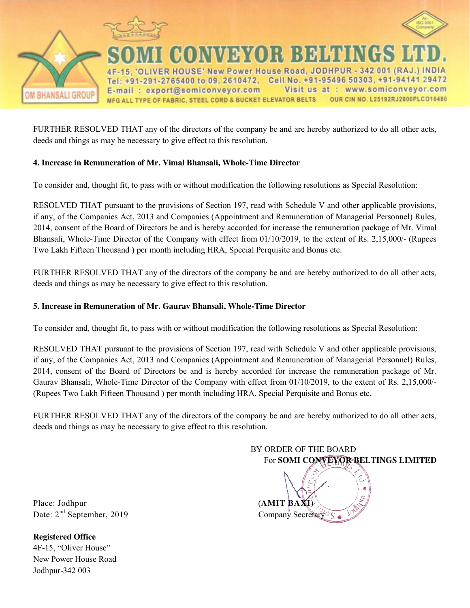

FURTHER RESOLVED THAT any of the directors of the company be and are hereby authorized to do all other acts, deeds and things as may be necessary to give effect to this resolution.

## **4. Increase in Remuneration of Mr. Vimal Bhansali, Whole-Time Director**

To consider and, thought fit, to pass with or without modification the following resolutions as Special Resolution:

RESOLVED THAT pursuant to the provisions of Section 197, read with Schedule V and other applicable provisions, if any, of the Companies Act, 2013 and Companies (Appointment and Remuneration of Managerial Personnel) Rules, 2014, consent of the Board of Directors be and is hereby accorded for increase the remuneration package of Mr. Vimal Bhansali, Whole-Time Director of the Company with effect from 01/10/2019, to the extent of Rs. 2,15,000/- (Rupees Two Lakh Fifteen Thousand ) per month including HRA, Special Perquisite and Bonus etc.

FURTHER RESOLVED THAT any of the directors of the company be and are hereby authorized to do all other acts, deeds and things as may be necessary to give effect to this resolution.

### **5. Increase in Remuneration of Mr. Gaurav Bhansali, Whole-Time Director**

To consider and, thought fit, to pass with or without modification the following resolutions as Special Resolution:

RESOLVED THAT pursuant to the provisions of Section 197, read with Schedule V and other applicable provisions, if any, of the Companies Act, 2013 and Companies (Appointment and Remuneration of Managerial Personnel) Rules, 2014, consent of the Board of Directors be and is hereby accorded for increase the remuneration package of Mr. Gaurav Bhansali, Whole-Time Director of the Company with effect from 01/10/2019, to the extent of Rs. 2,15,000/- (Rupees Two Lakh Fifteen Thousand ) per month including HRA, Special Perquisite and Bonus etc.

FURTHER RESOLVED THAT any of the directors of the company be and are hereby authorized to do all other acts, deeds and things as may be necessary to give effect to this resolution.

> BY ORDER OF THE BOARD For **SOMI CONVEYOR BELTINGS LIMITED**

Place: Jodhpur (**AMIT BAXI**) Date:  $2<sup>nd</sup>$  September, 2019 Company Secretary S

**Registered Office**  4F-15, "Oliver House" New Power House Road Jodhpur-342 003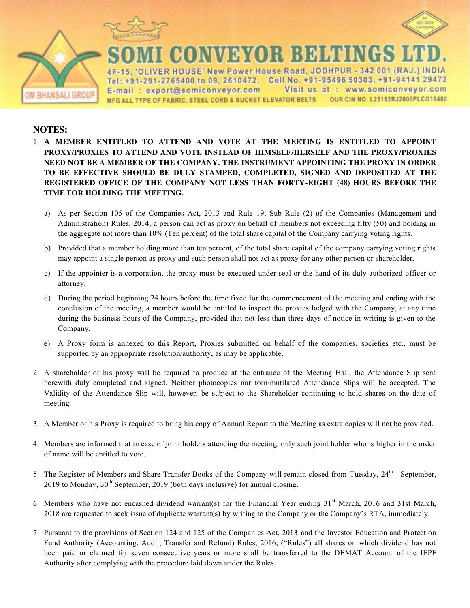



**CONVEYOR BEHUNGS** 

ER HOUSE' New Power House Road, JODHPUR - 342 001 (RAJ.) INDIA Tel: +91-291-2765400 to 09, 2610472, Cell No. +91-95496 50303, +91-94141 29472 Visit us at : www.somiconveyor.com E-mail: export@somiconveyor.com OUR CIN NO. L25192RJ2000PLCO16480 MFG ALL TYPE OF FABRIC, STEEL CORD & BUCKET ELEVATOR BELTS

### **NOTES:**

**BHANSALI GROUP** 

- 1. **A MEMBER ENTITLED TO ATTEND AND VOTE AT THE MEETING IS ENTITLED TO APPOINT PROXY/PROXIES TO ATTEND AND VOTE INSTEAD OF HIMSELF/HERSELF AND THE PROXY/PROXIES NEED NOT BE A MEMBER OF THE COMPANY. THE INSTRUMENT APPOINTING THE PROXY IN ORDER TO BE EFFECTIVE SHOULD BE DULY STAMPED, COMPLETED, SIGNED AND DEPOSITED AT THE REGISTERED OFFICE OF THE COMPANY NOT LESS THAN FORTY-EIGHT (48) HOURS BEFORE THE TIME FOR HOLDING THE MEETING.** 
	- a) As per Section 105 of the Companies Act, 2013 and Rule 19, Sub-Rule (2) of the Companies (Management and Administration) Rules, 2014, a person can act as proxy on behalf of members not exceeding fifty (50) and holding in the aggregate not more than 10% (Ten percent) of the total share capital of the Company carrying voting rights.
	- b) Provided that a member holding more than ten percent, of the total share capital of the company carrying voting rights may appoint a single person as proxy and such person shall not act as proxy for any other person or shareholder.
	- c) If the appointer is a corporation, the proxy must be executed under seal or the hand of its duly authorized officer or attorney.
	- d) During the period beginning 24 hours before the time fixed for the commencement of the meeting and ending with the conclusion of the meeting, a member would be entitled to inspect the proxies lodged with the Company, at any time during the business hours of the Company, provided that not less than three days of notice in writing is given to the Company.
	- e) A Proxy form is annexed to this Report, Proxies submitted on behalf of the companies, societies etc., must be supported by an appropriate resolution/authority, as may be applicable.
- 2. A shareholder or his proxy will be required to produce at the entrance of the Meeting Hall, the Attendance Slip sent herewith duly completed and signed. Neither photocopies nor torn/mutilated Attendance Slips will be accepted. The Validity of the Attendance Slip will, however, be subject to the Shareholder continuing to hold shares on the date of meeting.
- 3. A Member or his Proxy is required to bring his copy of Annual Report to the Meeting as extra copies will not be provided.
- 4. Members are informed that in case of joint holders attending the meeting, only such joint holder who is higher in the order of name will be entitled to vote.
- 5. The Register of Members and Share Transfer Books of the Company will remain closed from Tuesday, 24<sup>th</sup> September, 2019 to Monday,  $30<sup>th</sup>$  September, 2019 (both days inclusive) for annual closing.
- 6. Members who have not encashed dividend warrant(s) for the Financial Year ending  $31<sup>st</sup>$  March, 2016 and 31st March, 2018 are requested to seek issue of duplicate warrant(s) by writing to the Company or the Company"s RTA, immediately.
- 7. Pursuant to the provisions of Section 124 and 125 of the Companies Act, 2013 and the Investor Education and Protection Fund Authority (Accounting, Audit, Transfer and Refund) Rules, 2016, ("Rules") all shares on which dividend has not been paid or claimed for seven consecutive years or more shall be transferred to the DEMAT Account of the IEPF Authority after complying with the procedure laid down under the Rules.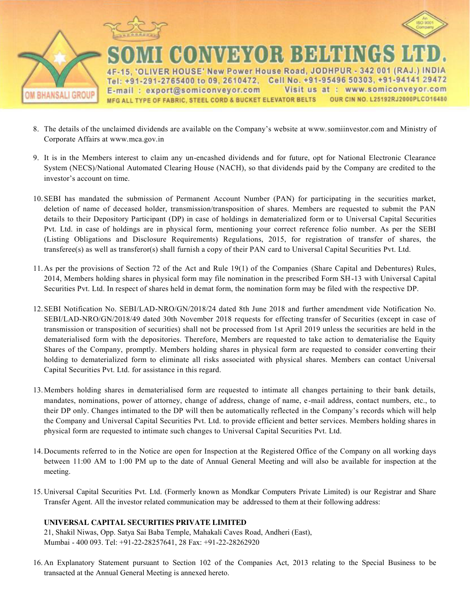

- 8. The details of the unclaimed dividends are available on the Company"s website at www.somiinvestor.com and Ministry of Corporate Affairs at www.mca.gov.in
- 9. It is in the Members interest to claim any un-encashed dividends and for future, opt for National Electronic Clearance System (NECS)/National Automated Clearing House (NACH), so that dividends paid by the Company are credited to the investor"s account on time.
- 10.SEBI has mandated the submission of Permanent Account Number (PAN) for participating in the securities market, deletion of name of deceased holder, transmission/transposition of shares. Members are requested to submit the PAN details to their Depository Participant (DP) in case of holdings in dematerialized form or to Universal Capital Securities Pvt. Ltd. in case of holdings are in physical form, mentioning your correct reference folio number. As per the SEBI (Listing Obligations and Disclosure Requirements) Regulations, 2015, for registration of transfer of shares, the transferee(s) as well as transferor(s) shall furnish a copy of their PAN card to Universal Capital Securities Pvt. Ltd.
- 11.As per the provisions of Section 72 of the Act and Rule 19(1) of the Companies (Share Capital and Debentures) Rules, 2014, Members holding shares in physical form may file nomination in the prescribed Form SH -13 with Universal Capital Securities Pvt. Ltd. In respect of shares held in demat form, the nomination form may be filed with the respective DP.
- 12.SEBI Notification No. SEBI/LAD-NRO/GN/2018/24 dated 8th June 2018 and further amendment vide Notification No. SEBI/LAD-NRO/GN/2018/49 dated 30th November 2018 requests for effecting transfer of Securities (except in case of transmission or transposition of securities) shall not be processed from 1st April 2019 unless the securities are held in the dematerialised form with the depositories. Therefore, Members are requested to take action to dematerialise the Equity Shares of the Company, promptly. Members holding shares in physical form are requested to consider converting their holding to dematerialized form to eliminate all risks associated with physical shares. Members can contact Universal Capital Securities Pvt. Ltd. for assistance in this regard.
- 13.Members holding shares in dematerialised form are requested to intimate all changes pertaining to their bank details, mandates, nominations, power of attorney, change of address, change of name, e-mail address, contact numbers, etc., to their DP only. Changes intimated to the DP will then be automatically reflected in the Company"s records which will help the Company and Universal Capital Securities Pvt. Ltd. to provide efficient and better services. Members holding shares in physical form are requested to intimate such changes to Universal Capital Securities Pvt. Ltd.
- 14.Documents referred to in the Notice are open for Inspection at the Registered Office of the Company on all working days between 11:00 AM to 1:00 PM up to the date of Annual General Meeting and will also be available for inspection at the meeting.
- 15. Universal Capital Securities Pvt. Ltd. (Formerly known as Mondkar Computers Private Limited) is our Registrar and Share Transfer Agent. All the investor related communication may be addressed to them at their following address:

#### **UNIVERSAL CAPITAL SECURITIES PRIVATE LIMITED**

21, Shakil Niwas, Opp. Satya Sai Baba Temple, Mahakali Caves Road, Andheri (East), Mumbai - 400 093. Tel: +91-22-28257641, 28 Fax: +91-22-28262920

16. An Explanatory Statement pursuant to Section 102 of the Companies Act, 2013 relating to the Special Business to be transacted at the Annual General Meeting is annexed hereto.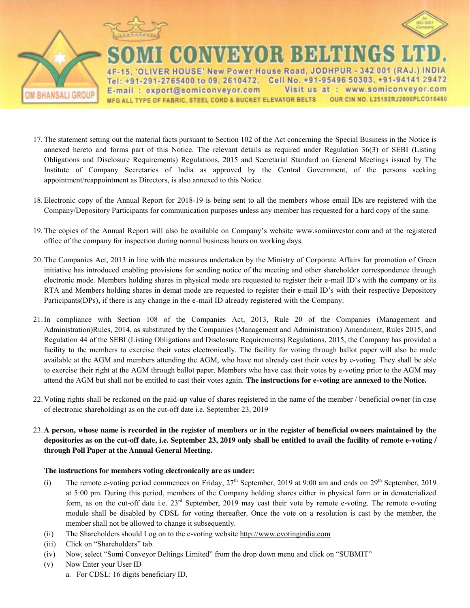

**BHANSALI GROUP** 



**CONVEYOR BELTINGS** IVER HOUSE' New Power House Road, JODHPUR - 342 001 (RAJ.) INDIA Tel: +91-291-2765400 to 09, 2610472, Cell No. +91-95496 50303, +91-94141 29472 Visit us at : www.somiconveyor.com E-mail: export@somiconveyor.com OUR CIN NO. L25192RJ2000PLCO16480 MFG ALL TYPE OF FABRIC, STEEL CORD & BUCKET ELEVATOR BELTS

- 17. The statement setting out the material facts pursuant to Section 102 of the Act concerning the Special Business in the Notice is annexed hereto and forms part of this Notice. The relevant details as required under Regulation 36(3) of SEBI (Listing Obligations and Disclosure Requirements) Regulations, 2015 and Secretarial Standard on General Meetings issued by The Institute of Company Secretaries of India as approved by the Central Government, of the persons seeking appointment/reappointment as Directors, is also annexed to this Notice.
- 18. Electronic copy of the Annual Report for 2018-19 is being sent to all the members whose email IDs are registered with the Company/Depository Participants for communication purposes unless any member has requested for a hard copy of the same.
- 19. The copies of the Annual Report will also be available on Company"s website www.somiinvestor.com and at the registered office of the company for inspection during normal business hours on working days.
- 20.The Companies Act, 2013 in line with the measures undertaken by the Ministry of Corporate Affairs for promotion of Green initiative has introduced enabling provisions for sending notice of the meeting and other shareholder correspondence through electronic mode. Members holding shares in physical mode are requested to register their e-mail ID"s with the company or its RTA and Members holding shares in demat mode are requested to register their e-mail ID"s with their respective Depository Participants(DPs), if there is any change in the e-mail ID already registered with the Company.
- 21.In compliance with Section 108 of the Companies Act, 2013, Rule 20 of the Companies (Management and Administration)Rules, 2014, as substituted by the Companies (Management and Administration) Amendment, Rules 2015, and Regulation 44 of the SEBI (Listing Obligations and Disclosure Requirements) Regulations, 2015, the Company has provided a facility to the members to exercise their votes electronically. The facility for voting through ballot paper will also be made available at the AGM and members attending the AGM, who have not already cast their votes by e-voting. They shall be able to exercise their right at the AGM through ballot paper. Members who have cast their votes by e-voting prior to the AGM may attend the AGM but shall not be entitled to cast their votes again. **The instructions for e-voting are annexed to the Notice.**
- 22.Voting rights shall be reckoned on the paid-up value of shares registered in the name of the member / beneficial owner (in case of electronic shareholding) as on the cut-off date i.e. September 23, 2019
- 23.**A person, whose name is recorded in the register of members or in the register of beneficial owners maintained by the depositories as on the cut-off date, i.e. September 23, 2019 only shall be entitled to avail the facility of remote e-voting / through Poll Paper at the Annual General Meeting.**

#### **The instructions for members voting electronically are as under:**

- (i) The remote e-voting period commences on Friday,  $27<sup>th</sup>$  September, 2019 at 9:00 am and ends on  $29<sup>th</sup>$  September, 2019 at 5:00 pm. During this period, members of the Company holding shares either in physical form or in dematerialized form, as on the cut-off date i.e. 23<sup>rd</sup> September, 2019 may cast their vote by remote e-voting. The remote e-voting module shall be disabled by CDSL for voting thereafter. Once the vote on a resolution is cast by the member, the member shall not be allowed to change it subsequently.
- (ii) The Shareholders should Log on to the e-voting website http://www.evotingindia.com
- (iii) Click on "Shareholders" tab.
- (iv) Now, select "Somi Conveyor Beltings Limited" from the drop down menu and click on "SUBMIT"
- (v) Now Enter your User ID
	- a. For CDSL: 16 digits beneficiary ID,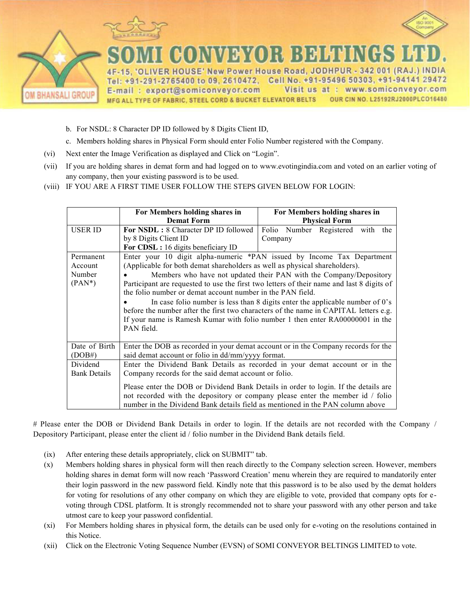

- b. For NSDL: 8 Character DP ID followed by 8 Digits Client ID,
- c. Members holding shares in Physical Form should enter Folio Number registered with the Company.
- (vi) Next enter the Image Verification as displayed and Click on "Login".
- (vii) If you are holding shares in demat form and had logged on to www.evotingindia.com and voted on an earlier voting of any company, then your existing password is to be used.
- (viii) IF YOU ARE A FIRST TIME USER FOLLOW THE STEPS GIVEN BELOW FOR LOGIN:

|                     | For Members holding shares in                                                        | For Members holding shares in                                                             |  |  |  |  |
|---------------------|--------------------------------------------------------------------------------------|-------------------------------------------------------------------------------------------|--|--|--|--|
|                     | <b>Demat Form</b>                                                                    | <b>Physical Form</b>                                                                      |  |  |  |  |
| <b>USER ID</b>      | <b>For NSDL:</b> 8 Character DP ID followed                                          | Folio Number Registered with<br>the                                                       |  |  |  |  |
|                     | by 8 Digits Client ID                                                                | Company                                                                                   |  |  |  |  |
|                     | For CDSL: 16 digits beneficiary ID                                                   |                                                                                           |  |  |  |  |
| Permanent           |                                                                                      | Enter your 10 digit alpha-numeric *PAN issued by Income Tax Department                    |  |  |  |  |
| Account             | (Applicable for both demat shareholders as well as physical shareholders).           |                                                                                           |  |  |  |  |
| Number              |                                                                                      | Members who have not updated their PAN with the Company/Depository                        |  |  |  |  |
| $(PAN^*)$           |                                                                                      | Participant are requested to use the first two letters of their name and last 8 digits of |  |  |  |  |
|                     | the folio number or demat account number in the PAN field.                           |                                                                                           |  |  |  |  |
|                     | In case folio number is less than 8 digits enter the applicable number of $0$ 's     |                                                                                           |  |  |  |  |
|                     | before the number after the first two characters of the name in CAPITAL letters e.g. |                                                                                           |  |  |  |  |
|                     | If your name is Ramesh Kumar with folio number 1 then enter RA00000001 in the        |                                                                                           |  |  |  |  |
|                     | PAN field.                                                                           |                                                                                           |  |  |  |  |
|                     |                                                                                      |                                                                                           |  |  |  |  |
| Date of Birth       |                                                                                      | Enter the DOB as recorded in your demat account or in the Company records for the         |  |  |  |  |
| (DOB#)              | said demat account or folio in dd/mm/yyyy format.                                    |                                                                                           |  |  |  |  |
| Dividend            | Enter the Dividend Bank Details as recorded in your demat account or in the          |                                                                                           |  |  |  |  |
| <b>Bank Details</b> | Company records for the said demat account or folio.                                 |                                                                                           |  |  |  |  |
|                     |                                                                                      |                                                                                           |  |  |  |  |
|                     | Please enter the DOB or Dividend Bank Details in order to login. If the details are  |                                                                                           |  |  |  |  |
|                     | not recorded with the depository or company please enter the member id / folio       |                                                                                           |  |  |  |  |
|                     | number in the Dividend Bank details field as mentioned in the PAN column above       |                                                                                           |  |  |  |  |

# Please enter the DOB or Dividend Bank Details in order to login. If the details are not recorded with the Company / Depository Participant, please enter the client id / folio number in the Dividend Bank details field.

- (ix) After entering these details appropriately, click on SUBMIT" tab.
- (x) Members holding shares in physical form will then reach directly to the Company selection screen. However, members holding shares in demat form will now reach 'Password Creation' menu wherein they are required to mandatorily enter their login password in the new password field. Kindly note that this password is to be also used by the demat holders for voting for resolutions of any other company on which they are eligible to vote, provided that company opts for evoting through CDSL platform. It is strongly recommended not to share your password with any other person and take utmost care to keep your password confidential.
- (xi) For Members holding shares in physical form, the details can be used only for e-voting on the resolutions contained in this Notice.
- (xii) Click on the Electronic Voting Sequence Number (EVSN) of SOMI CONVEYOR BELTINGS LIMITED to vote.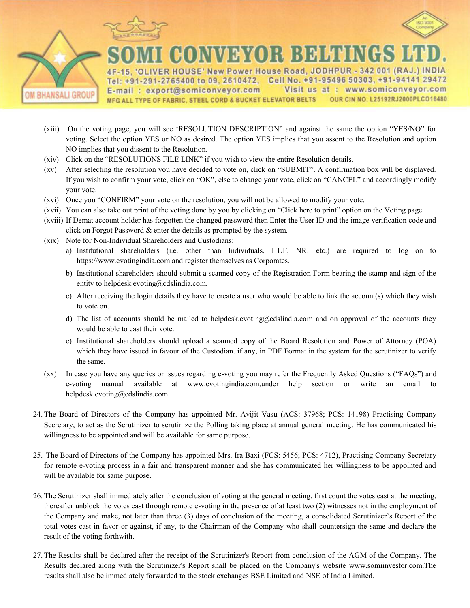



**BHANSALI GROUP** 

IVER HOUSE' New Power House Road, JODHPUR - 342 001 (RAJ.) INDIA Tel: +91-291-2765400 to 09, 2610472, Cell No. +91-95496 50303, +91-94141 29472 Visit us at : www.somiconveyor.com E-mail: export@somiconveyor.com OUR CIN NO. L25192RJ2000PLCO16480 MFG ALL TYPE OF FABRIC, STEEL CORD & BUCKET ELEVATOR BELTS

- (xiii) On the voting page, you will see "RESOLUTION DESCRIPTION" and against the same the option "YES/NO" for voting. Select the option YES or NO as desired. The option YES implies that you assent to the Resolution and option NO implies that you dissent to the Resolution.
- (xiv) Click on the "RESOLUTIONS FILE LINK" if you wish to view the entire Resolution details.
- (xv) After selecting the resolution you have decided to vote on, click on "SUBMIT". A confirmation box will be displayed. If you wish to confirm your vote, click on "OK", else to change your vote, click on "CANCEL" and accordingly modify your vote.
- (xvi) Once you "CONFIRM" your vote on the resolution, you will not be allowed to modify your vote.
- (xvii) You can also take out print of the voting done by you by clicking on "Click here to print" option on the Voting page.
- (xviii) If Demat account holder has forgotten the changed password then Enter the User ID and the image verification code and click on Forgot Password & enter the details as prompted by the system.
- (xix) Note for Non-Individual Shareholders and Custodians:
	- a) Institutional shareholders (i.e. other than Individuals, HUF, NRI etc.) are required to log on to https://www.evotingindia.com and register themselves as Corporates.
	- b) Institutional shareholders should submit a scanned copy of the Registration Form bearing the stamp and sign of the entity to helpdesk.evoting@cdslindia.com.
	- c) After receiving the login details they have to create a user who would be able to link the account(s) which they wish to vote on.
	- d) The list of accounts should be mailed to helpdesk.evoting@cdslindia.com and on approval of the accounts they would be able to cast their vote.
	- e) Institutional shareholders should upload a scanned copy of the Board Resolution and Power of Attorney (POA) which they have issued in favour of the Custodian. if any, in PDF Format in the system for the scrutinizer to verify the same.
- (xx) In case you have any queries or issues regarding e-voting you may refer the Frequently Asked Questions ("FAQs") and e-voting manual available at www.evotingindia.com,under help section or write an email to helpdesk.evoting@cdslindia.com.
- 24. The Board of Directors of the Company has appointed Mr. Avijit Vasu (ACS: 37968; PCS: 14198) Practising Company Secretary, to act as the Scrutinizer to scrutinize the Polling taking place at annual general meeting. He has communicated his willingness to be appointed and will be available for same purpose.
- 25. The Board of Directors of the Company has appointed Mrs. Ira Baxi (FCS: 5456; PCS: 4712), Practising Company Secretary for remote e-voting process in a fair and transparent manner and she has communicated her willingness to be appointed and will be available for same purpose.
- 26. The Scrutinizer shall immediately after the conclusion of voting at the general meeting, first count the votes cast at the meeting, thereafter unblock the votes cast through remote e-voting in the presence of at least two (2) witnesses not in the employment of the Company and make, not later than three (3) days of conclusion of the meeting, a consolidated Scrutinizer"s Report of the total votes cast in favor or against, if any, to the Chairman of the Company who shall countersign the same and declare the result of the voting forthwith.
- 27. The Results shall be declared after the receipt of the Scrutinizer's Report from conclusion of the AGM of the Company. The Results declared along with the Scrutinizer's Report shall be placed on the Company's website www.somiinvestor.com.The results shall also be immediately forwarded to the stock exchanges BSE Limited and NSE of India Limited.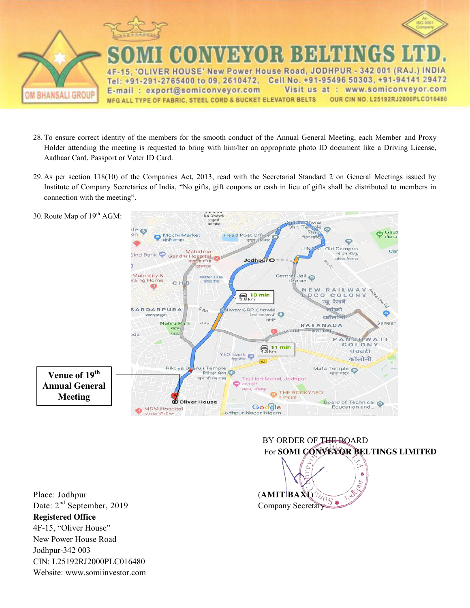

- 28. To ensure correct identity of the members for the smooth conduct of the Annual General Meeting, each Member and Proxy Holder attending the meeting is requested to bring with him/her an appropriate photo ID document like a Driving License, Aadhaar Card, Passport or Voter ID Card.
- 29. As per section 118(10) of the Companies Act, 2013, read with the Secretarial Standard 2 on General Meetings issued by Institute of Company Secretaries of India, "No gifts, gift coupons or cash in lieu of gifts shall be distributed to members in connection with the meeting".



Place: Jodhpur (**AMIT** BAXI) Date: 2<sup>nd</sup> September, 2019 Company Secretary **Registered Office**  4F-15, "Oliver House" New Power House Road Jodhpur-342 003 CIN: L25192RJ2000PLC016480 Website: www.somiinvestor.com

# BY ORDER OF THE BOARD For **SOMI CONVEYOR BELTINGS LIMITED**

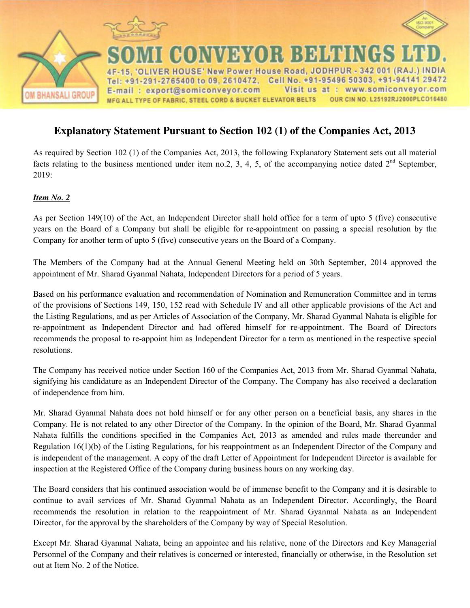

# **Explanatory Statement Pursuant to Section 102 (1) of the Companies Act, 2013**

As required by Section 102 (1) of the Companies Act, 2013, the following Explanatory Statement sets out all material facts relating to the business mentioned under item no.2, 3, 4, 5, of the accompanying notice dated  $2<sup>nd</sup>$  September, 2019:

## *Item No. 2*

As per Section 149(10) of the Act, an Independent Director shall hold office for a term of upto 5 (five) consecutive years on the Board of a Company but shall be eligible for re-appointment on passing a special resolution by the Company for another term of upto 5 (five) consecutive years on the Board of a Company.

The Members of the Company had at the Annual General Meeting held on 30th September, 2014 approved the appointment of Mr. Sharad Gyanmal Nahata, Independent Directors for a period of 5 years.

Based on his performance evaluation and recommendation of Nomination and Remuneration Committee and in terms of the provisions of Sections 149, 150, 152 read with Schedule IV and all other applicable provisions of the Act and the Listing Regulations, and as per Articles of Association of the Company, Mr. Sharad Gyanmal Nahata is eligible for re-appointment as Independent Director and had offered himself for re-appointment. The Board of Directors recommends the proposal to re-appoint him as Independent Director for a term as mentioned in the respective special resolutions.

The Company has received notice under Section 160 of the Companies Act, 2013 from Mr. Sharad Gyanmal Nahata, signifying his candidature as an Independent Director of the Company. The Company has also received a declaration of independence from him.

Mr. Sharad Gyanmal Nahata does not hold himself or for any other person on a beneficial basis, any shares in the Company. He is not related to any other Director of the Company. In the opinion of the Board, Mr. Sharad Gyanmal Nahata fulfills the conditions specified in the Companies Act, 2013 as amended and rules made thereunder and Regulation 16(1)(b) of the Listing Regulations, for his reappointment as an Independent Director of the Company and is independent of the management. A copy of the draft Letter of Appointment for Independent Director is available for inspection at the Registered Office of the Company during business hours on any working day.

The Board considers that his continued association would be of immense benefit to the Company and it is desirable to continue to avail services of Mr. Sharad Gyanmal Nahata as an Independent Director. Accordingly, the Board recommends the resolution in relation to the reappointment of Mr. Sharad Gyanmal Nahata as an Independent Director, for the approval by the shareholders of the Company by way of Special Resolution.

Except Mr. Sharad Gyanmal Nahata, being an appointee and his relative, none of the Directors and Key Managerial Personnel of the Company and their relatives is concerned or interested, financially or otherwise, in the Resolution set out at Item No. 2 of the Notice.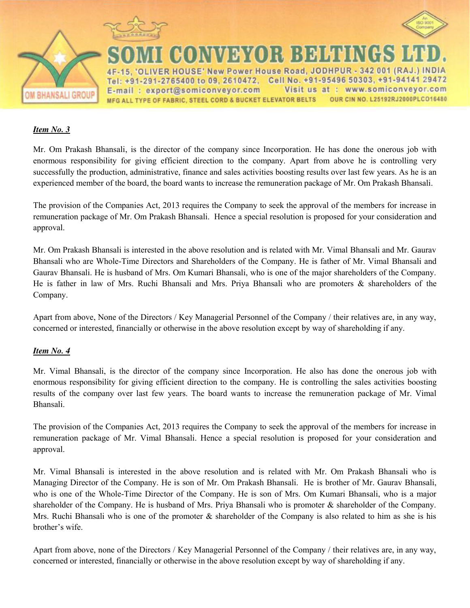





**CONVEYOR BELTINGS** ER HOUSE' New Power House Road, JODHPUR - 342 001 (RAJ.) INDIA Tel: +91-291-2765400 to 09, 2610472, Cell No. +91-95496 50303, +91-94141 29472 Visit us at : www.somiconveyor.com E-mail: export@somiconveyor.com OUR CIN NO. L25192RJ2000PLCO16480 MFG ALL TYPE OF FABRIC, STEEL CORD & BUCKET ELEVATOR BELTS

### *Item No. 3*

Mr. Om Prakash Bhansali, is the director of the company since Incorporation. He has done the onerous job with enormous responsibility for giving efficient direction to the company. Apart from above he is controlling very successfully the production, administrative, finance and sales activities boosting results over last few years. As he is an experienced member of the board, the board wants to increase the remuneration package of Mr. Om Prakash Bhansali.

The provision of the Companies Act, 2013 requires the Company to seek the approval of the members for increase in remuneration package of Mr. Om Prakash Bhansali. Hence a special resolution is proposed for your consideration and approval.

Mr. Om Prakash Bhansali is interested in the above resolution and is related with Mr. Vimal Bhansali and Mr. Gaurav Bhansali who are Whole-Time Directors and Shareholders of the Company. He is father of Mr. Vimal Bhansali and Gaurav Bhansali. He is husband of Mrs. Om Kumari Bhansali, who is one of the major shareholders of the Company. He is father in law of Mrs. Ruchi Bhansali and Mrs. Priya Bhansali who are promoters & shareholders of the Company.

Apart from above, None of the Directors / Key Managerial Personnel of the Company / their relatives are, in any way, concerned or interested, financially or otherwise in the above resolution except by way of shareholding if any.

#### *Item No. 4*

Mr. Vimal Bhansali, is the director of the company since Incorporation. He also has done the onerous job with enormous responsibility for giving efficient direction to the company. He is controlling the sales activities boosting results of the company over last few years. The board wants to increase the remuneration package of Mr. Vimal Bhansali.

The provision of the Companies Act, 2013 requires the Company to seek the approval of the members for increase in remuneration package of Mr. Vimal Bhansali. Hence a special resolution is proposed for your consideration and approval.

Mr. Vimal Bhansali is interested in the above resolution and is related with Mr. Om Prakash Bhansali who is Managing Director of the Company. He is son of Mr. Om Prakash Bhansali. He is brother of Mr. Gaurav Bhansali, who is one of the Whole-Time Director of the Company. He is son of Mrs. Om Kumari Bhansali, who is a major shareholder of the Company. He is husband of Mrs. Priya Bhansali who is promoter & shareholder of the Company. Mrs. Ruchi Bhansali who is one of the promoter  $\&$  shareholder of the Company is also related to him as she is his brother's wife.

Apart from above, none of the Directors / Key Managerial Personnel of the Company / their relatives are, in any way, concerned or interested, financially or otherwise in the above resolution except by way of shareholding if any.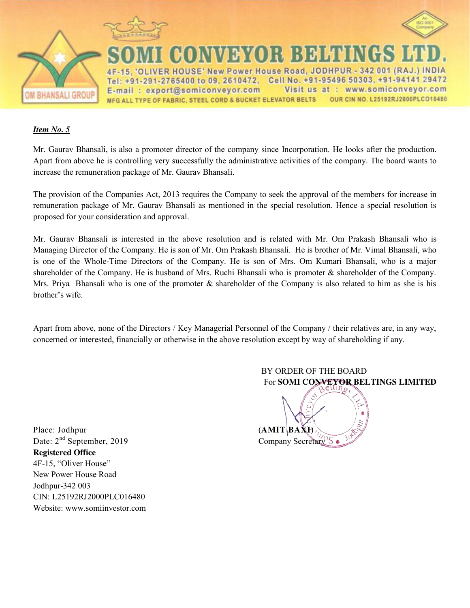





ER HOUSE' New Power House Road, JODHPUR - 342 001 (RAJ.) INDIA Tel: +91-291-2765400 to 09, 2610472, Cell No. +91-95496 50303, +91-94141 29472 E-mail: export@somiconveyor.com  $at:$ www.somiconveyor.com Visit us OUR CIN NO. L25192RJ2000PLCO16480 MFG ALL TYPE OF FABRIC, STEEL CORD & BUCKET ELEVATOR BELTS

NYDYOR BEHENGS

### *Item No. 5*

Mr. Gaurav Bhansali, is also a promoter director of the company since Incorporation. He looks after the production. Apart from above he is controlling very successfully the administrative activities of the company. The board wants to increase the remuneration package of Mr. Gaurav Bhansali.

The provision of the Companies Act, 2013 requires the Company to seek the approval of the members for increase in remuneration package of Mr. Gaurav Bhansali as mentioned in the special resolution. Hence a special resolution is proposed for your consideration and approval.

Mr. Gaurav Bhansali is interested in the above resolution and is related with Mr. Om Prakash Bhansali who is Managing Director of the Company. He is son of Mr. Om Prakash Bhansali. He is brother of Mr. Vimal Bhansali, who is one of the Whole-Time Directors of the Company. He is son of Mrs. Om Kumari Bhansali, who is a major shareholder of the Company. He is husband of Mrs. Ruchi Bhansali who is promoter & shareholder of the Company. Mrs. Priya Bhansali who is one of the promoter  $\&$  shareholder of the Company is also related to him as she is his brother"s wife.

Apart from above, none of the Directors / Key Managerial Personnel of the Company / their relatives are, in any way, concerned or interested, financially or otherwise in the above resolution except by way of shareholding if any.

BY ORDER OF THE BOARD

For **SOMI CONVEYOR BELTINGS LIMITED** 

Place: Jodhpur (**AMIT** BAXI) Date:  $2<sup>nd</sup>$  September, 2019 Company Secretary S **Registered Office**  4F-15, "Oliver House" New Power House Road Jodhpur-342 003 CIN: L25192RJ2000PLC016480 Website: www.somiinvestor.com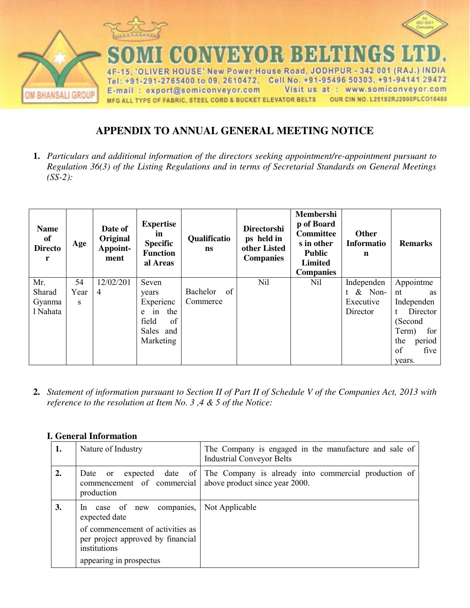

# **APPENDIX TO ANNUAL GENERAL MEETING NOTICE**

**1.** *Particulars and additional information of the directors seeking appointment/re-appointment pursuant to Regulation 36(3) of the Listing Regulations and in terms of Secretarial Standards on General Meetings (SS-2):*

| <b>Name</b><br>of<br><b>Directo</b><br>r | Age  | Date of<br>Original<br>Appoint-<br>ment | <b>Expertise</b><br>in<br><b>Specific</b><br><b>Function</b><br>al Areas | Qualificatio<br><b>ns</b> | <b>Directorshi</b><br>ps held in<br>other Listed<br><b>Companies</b> | Membershi<br>p of Board<br><b>Committee</b><br>s in other<br><b>Public</b><br><b>Limited</b><br><b>Companies</b> | <b>Other</b><br><b>Informatio</b><br>$\mathbf n$ | <b>Remarks</b> |
|------------------------------------------|------|-----------------------------------------|--------------------------------------------------------------------------|---------------------------|----------------------------------------------------------------------|------------------------------------------------------------------------------------------------------------------|--------------------------------------------------|----------------|
| Mr.                                      | 54   | 12/02/201                               | Seven                                                                    |                           | Nil                                                                  | Nil                                                                                                              | Independen                                       | Appointme      |
| Sharad                                   | Year | $\overline{4}$                          | years                                                                    | Bachelor<br>of            |                                                                      |                                                                                                                  | $t \&$ Non-                                      | nt<br>as       |
| Gyanma                                   | S    |                                         | Experienc                                                                | Commerce                  |                                                                      |                                                                                                                  | Executive                                        | Independen     |
| l Nahata                                 |      |                                         | the<br>1n<br>e                                                           |                           |                                                                      |                                                                                                                  | Director                                         | Director<br>t  |
|                                          |      |                                         | field<br>of                                                              |                           |                                                                      |                                                                                                                  |                                                  | (Second        |
|                                          |      |                                         | Sales<br>and                                                             |                           |                                                                      |                                                                                                                  |                                                  | for<br>Term)   |
|                                          |      |                                         | Marketing                                                                |                           |                                                                      |                                                                                                                  |                                                  | the<br>period  |
|                                          |      |                                         |                                                                          |                           |                                                                      |                                                                                                                  |                                                  | of<br>five     |
|                                          |      |                                         |                                                                          |                           |                                                                      |                                                                                                                  |                                                  | vears.         |

**2.** *Statement of information pursuant to Section II of Part II of Schedule V of the Companies Act, 2013 with reference to the resolution at Item No. 3 ,4 & 5 of the Notice:* 

| 1. | Nature of Industry                                                                                                                                             | The Company is engaged in the manufacture and sale of<br><b>Industrial Conveyor Belts</b> |  |  |  |
|----|----------------------------------------------------------------------------------------------------------------------------------------------------------------|-------------------------------------------------------------------------------------------|--|--|--|
| 2. | Date or<br>commencement of commercial above product since year 2000.<br>production                                                                             | expected date of The Company is already into commercial production of                     |  |  |  |
| 3. | In case of new companies,<br>expected date<br>of commencement of activities as<br>per project approved by financial<br>institutions<br>appearing in prospectus | Not Applicable                                                                            |  |  |  |

### **I. General Information**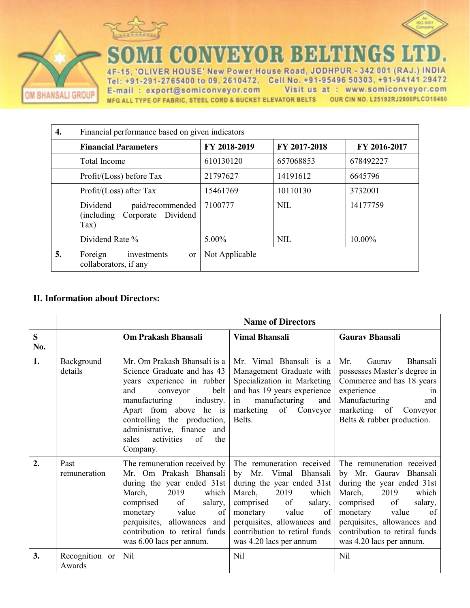



**DMI CONVEYOR BELTINGS LT** 

4F-15. 'OLIVER HOUSE' New Power House Road, JODHPUR - 342 001 (RAJ.) INDIA Tel: +91-291-2765400 to 09, 2610472, Cell No. +91-95496 50303, +91-94141 29472 E-mail: export@somiconveyor.com Visit us at: www.somiconveyor.com MFG ALL TYPE OF FABRIC, STEEL CORD & BUCKET ELEVATOR BELTS OUR CIN NO. L25192RJ2000PLCO16480

| 4. | Financial performance based on given indicators                                       |                |              |              |  |
|----|---------------------------------------------------------------------------------------|----------------|--------------|--------------|--|
|    | <b>Financial Parameters</b>                                                           | FY 2018-2019   | FY 2017-2018 | FY 2016-2017 |  |
|    | <b>Total Income</b>                                                                   | 610130120      | 657068853    | 678492227    |  |
|    | Profit/(Loss) before Tax                                                              | 21797627       | 14191612     | 6645796      |  |
|    | Profit/(Loss) after Tax                                                               | 15461769       | 10110130     | 3732001      |  |
|    | Dividend<br>paid/recommended<br>Dividend<br>(including)<br>Corporate<br>$\text{Tax)}$ | 7100777        | <b>NIL</b>   | 14177759     |  |
|    | Dividend Rate %                                                                       | $5.00\%$       | NIL          | 10.00%       |  |
| 5. | Foreign<br>investments<br><sub>or</sub><br>collaborators, if any                      | Not Applicable |              |              |  |

### **II. Information about Directors:**

OM BHANSALI GROUP

|                  |                          | <b>Name of Directors</b>                                                                                                                                                                                                                                                                         |                                                                                                                                                                                                                                                                       |                                                                                                                                                                                                                                                                   |  |
|------------------|--------------------------|--------------------------------------------------------------------------------------------------------------------------------------------------------------------------------------------------------------------------------------------------------------------------------------------------|-----------------------------------------------------------------------------------------------------------------------------------------------------------------------------------------------------------------------------------------------------------------------|-------------------------------------------------------------------------------------------------------------------------------------------------------------------------------------------------------------------------------------------------------------------|--|
| S<br>No.         |                          | Om Prakash Bhansali                                                                                                                                                                                                                                                                              | <b>Vimal Bhansali</b>                                                                                                                                                                                                                                                 | <b>Gaurav Bhansali</b>                                                                                                                                                                                                                                            |  |
| 1.               | Background<br>details    | Mr. Om Prakash Bhansali is a<br>Science Graduate and has 43<br>years experience in rubber<br>belt<br>and<br>conveyor<br>manufacturing<br>industry.<br>Apart from above he is<br>controlling the production,<br>administrative, finance and<br>activities<br>$\sigma$<br>the<br>sales<br>Company. | Mr. Vimal Bhansali is a<br>Management Graduate with<br>Specialization in Marketing<br>and has 19 years experience<br>manufacturing<br>in<br>and<br>marketing of<br>Conveyor<br>Belts.                                                                                 | Mr.<br>Gaurav<br>Bhansali<br>possesses Master's degree in<br>Commerce and has 18 years<br>experience<br>1n<br>Manufacturing<br>and<br>marketing<br>of<br>Conveyor<br>Belts & rubber production.                                                                   |  |
| $\overline{2}$ . | Past<br>remuneration     | The remuneration received by<br>Mr. Om Prakash Bhansali<br>during the year ended 31st<br>which<br>March,<br>2019<br>of<br>comprised<br>salary,<br>monetary<br>value<br>of<br>perquisites, allowances and<br>contribution to retiral funds<br>was 6.00 lacs per annum.                            | The remuneration received<br>Vimal<br>Bhansali<br>by Mr.<br>during the year ended 31st<br>March,<br>2019<br>which<br>comprised<br>of<br>salary,<br>monetary<br>value<br>of<br>perquisites, allowances and<br>contribution to retiral funds<br>was 4.20 lacs per annum | The remuneration received<br>by Mr. Gaurav Bhansali<br>during the year ended 31st<br>March,<br>which<br>2019<br>salary,<br>comprised<br>of<br>monetary<br>value<br>of<br>perquisites, allowances and<br>contribution to retiral funds<br>was 4.20 lacs per annum. |  |
| 3.               | Recognition or<br>Awards | Nil                                                                                                                                                                                                                                                                                              | Nil                                                                                                                                                                                                                                                                   | <b>Nil</b>                                                                                                                                                                                                                                                        |  |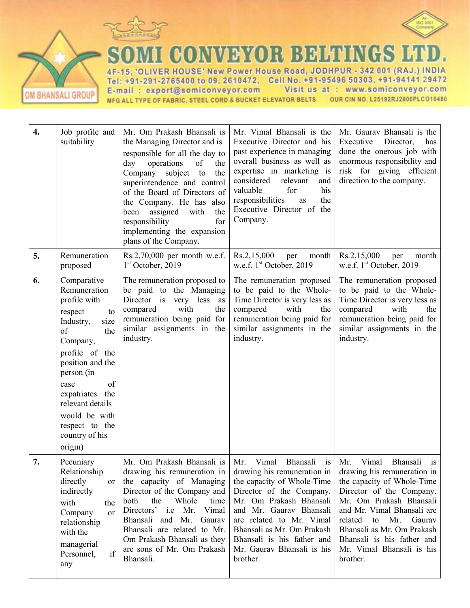

OM BHANSALI GROUP



**DMI CONVEYOR BELTINGS LT** 

4F-15, 'OLIVER HOUSE' New Power House Road, JODHPUR - 342 001 (RAJ.) INDIA Tel: +91-291-2765400 to 09, 2610472, Cell No. +91-95496 50303, +91-94141 29472 Visit us at : www.somiconveyor.com E-mail: export@somiconveyor.com MFG ALL TYPE OF FABRIC, STEEL CORD & BUCKET ELEVATOR BELTS OUR CIN NO. L25192RJ2000PLCO16480

| $\boldsymbol{4}$ . | Job profile and<br>suitability                                                                                                                                                                                                                                                      | Mr. Om Prakash Bhansali is<br>the Managing Director and is<br>responsible for all the day to<br>day<br>operations<br>of<br>the<br>Company<br>subject to<br>the<br>superintendence and control<br>of the Board of Directors of<br>the Company. He has also<br>assigned<br>with<br>the<br>been<br>responsibility<br>for<br>implementing the expansion<br>plans of the Company. | Mr. Vimal Bhansali is the<br>Executive Director and his<br>past experience in managing<br>overall business as well as<br>expertise in marketing is<br>considered<br>relevant<br>and<br>his<br>for<br>valuable<br>responsibilities<br>the<br>as<br>Executive Director of the<br>Company.                         | Mr. Gaurav Bhansali is the<br>Executive<br>Director,<br>has<br>done the onerous job with<br>enormous responsibility and<br>risk for giving efficient<br>direction to the company.                                                                                                                              |
|--------------------|-------------------------------------------------------------------------------------------------------------------------------------------------------------------------------------------------------------------------------------------------------------------------------------|------------------------------------------------------------------------------------------------------------------------------------------------------------------------------------------------------------------------------------------------------------------------------------------------------------------------------------------------------------------------------|-----------------------------------------------------------------------------------------------------------------------------------------------------------------------------------------------------------------------------------------------------------------------------------------------------------------|----------------------------------------------------------------------------------------------------------------------------------------------------------------------------------------------------------------------------------------------------------------------------------------------------------------|
| 5.                 | Remuneration<br>proposed                                                                                                                                                                                                                                                            | $Rs.2,70,000$ per month w.e.f.<br>1 <sup>st</sup> October, 2019                                                                                                                                                                                                                                                                                                              | Rs.2,15,000<br>per<br>month<br>w.e.f. $1st$ October, 2019                                                                                                                                                                                                                                                       | Rs.2,15,000<br>per<br>month<br>w.e.f. 1 <sup>st</sup> October, 2019                                                                                                                                                                                                                                            |
| 6.                 | Comparative<br>Remuneration<br>profile with<br>respect<br>to<br>Industry,<br>size<br>of<br>the<br>Company,<br>profile of the<br>position and the<br>person (in<br>of<br>case<br>expatriates the<br>relevant details<br>would be with<br>respect to the<br>country of his<br>origin) | The remuneration proposed to<br>be paid to the Managing<br>Director is very less<br>as<br>with<br>compared<br>the<br>remuneration being paid for<br>similar assignments in the<br>industry.                                                                                                                                                                                  | The remuneration proposed<br>to be paid to the Whole-<br>Time Director is very less as<br>compared<br>with<br>the<br>remuneration being paid for<br>similar assignments in the<br>industry.                                                                                                                     | The remuneration proposed<br>to be paid to the Whole-<br>Time Director is very less as<br>compared<br>with<br>the<br>remuneration being paid for<br>similar assignments in the<br>industry.                                                                                                                    |
| 7.                 | Pecuniary<br>Relationship<br>directly<br><sub>or</sub><br>indirectly<br>with<br>the<br>Company<br><sub>or</sub><br>relationship<br>with the<br>managerial<br>if<br>Personnel,<br>any                                                                                                | Mr. Om Prakash Bhansali is<br>drawing his remuneration in<br>the capacity of Managing<br>Director of the Company and<br>the<br>Whole<br>both<br>time<br>Directors' i.e Mr.<br>Vimal<br>Bhansali and Mr. Gaurav<br>Bhansali are related to Mr.<br>Om Prakash Bhansali as they<br>are sons of Mr. Om Prakash<br>Bhansali.                                                      | Mr.<br>Vimal<br>Bhansali<br>is<br>drawing his remuneration in<br>the capacity of Whole-Time<br>Director of the Company.<br>Mr. Om Prakash Bhansali<br>and Mr. Gaurav Bhansali<br>are related to Mr. Vimal<br>Bhansali as Mr. Om Prakash<br>Bhansali is his father and<br>Mr. Gaurav Bhansali is his<br>brother. | Mr.<br>Vimal<br>Bhansali<br>is<br>drawing his remuneration in<br>the capacity of Whole-Time<br>Director of the Company.<br>Mr. Om Prakash Bhansali<br>and Mr. Vimal Bhansali are<br>related to Mr. Gaurav<br>Bhansali as Mr. Om Prakash<br>Bhansali is his father and<br>Mr. Vimal Bhansali is his<br>brother. |